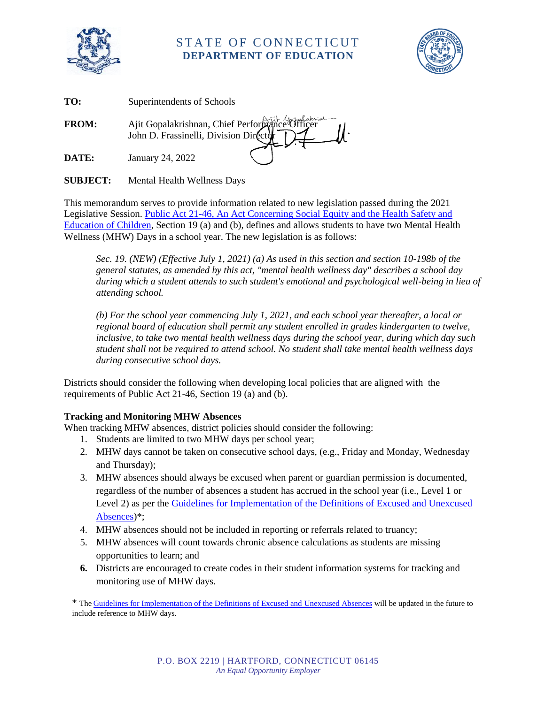

## STATE OF CONNECTICUT **DEPARTMENT OF EDUCATION**



| TO:          | Superintendents of Schools                     |
|--------------|------------------------------------------------|
| <b>FROM:</b> | Ajit Gopalakrishnan, Chief Performance Officer |
| DATE:        | January 24, 2022                               |

**SUBJECT:** Mental Health Wellness Days

This memorandum serves to provide information related to new legislation passed during the 2021 Legislative Session[. Public Act 21-46, An Act Concerning Social Equity and the Health Safety and](https://www.cga.ct.gov/2021/ACT/PA/PDF/2021PA-00046-R00SB-00002-PA.PDF)  [Education of Children,](https://www.cga.ct.gov/2021/ACT/PA/PDF/2021PA-00046-R00SB-00002-PA.PDF) Section 19 (a) and (b), defines and allows students to have two Mental Health Wellness (MHW) Days in a school year. The new legislation is as follows:

*Sec. 19. (NEW) (Effective July 1, 2021) (a) As used in this section and section 10-198b of the general statutes, as amended by this act, "mental health wellness day" describes a school day during which a student attends to such student's emotional and psychological well-being in lieu of attending school.*

*(b) For the school year commencing July 1, 2021, and each school year thereafter, a local or regional board of education shall permit any student enrolled in grades kindergarten to twelve, inclusive, to take two mental health wellness days during the school year, during which day such student shall not be required to attend school. No student shall take mental health wellness days during consecutive school days.*

Districts should consider the following when developing local policies that are aligned with the requirements of Public Act 21-46, Section 19 (a) and (b).

## **Tracking and Monitoring MHW Absences**

When tracking MHW absences, district policies should consider the following:

- 1. Students are limited to two MHW days per school year;
- 2. MHW days cannot be taken on consecutive school days, (e.g., Friday and Monday, Wednesday and Thursday);
- 3. MHW absences should always be excused when parent or guardian permission is documented, regardless of the number of absences a student has accrued in the school year (i.e., Level 1 or Level 2) as per the [Guidelines for Implementation of the Definitions of Excused and Unexcused](https://portal.ct.gov/-/media/SDE/Chronic-Absence/guidelines_excused_and_unexcused_absences.pdf) [Absences\)](https://portal.ct.gov/-/media/SDE/Chronic-Absence/guidelines_excused_and_unexcused_absences.pdf)\*;
- 4. MHW absences should not be included in reporting or referrals related to truancy;
- 5. MHW absences will count towards chronic absence calculations as students are missing opportunities to learn; and
- **6.** Districts are encouraged to create codes in their student information systems for tracking and monitoring use of MHW days.

\* The [Guidelines for Implementation of the Definitions of Excused and Unexcused Absences](https://portal.ct.gov/-/media/SDE/Chronic-Absence/guidelines_excused_and_unexcused_absences.pdf) will be updated in the future to include reference to MHW days.